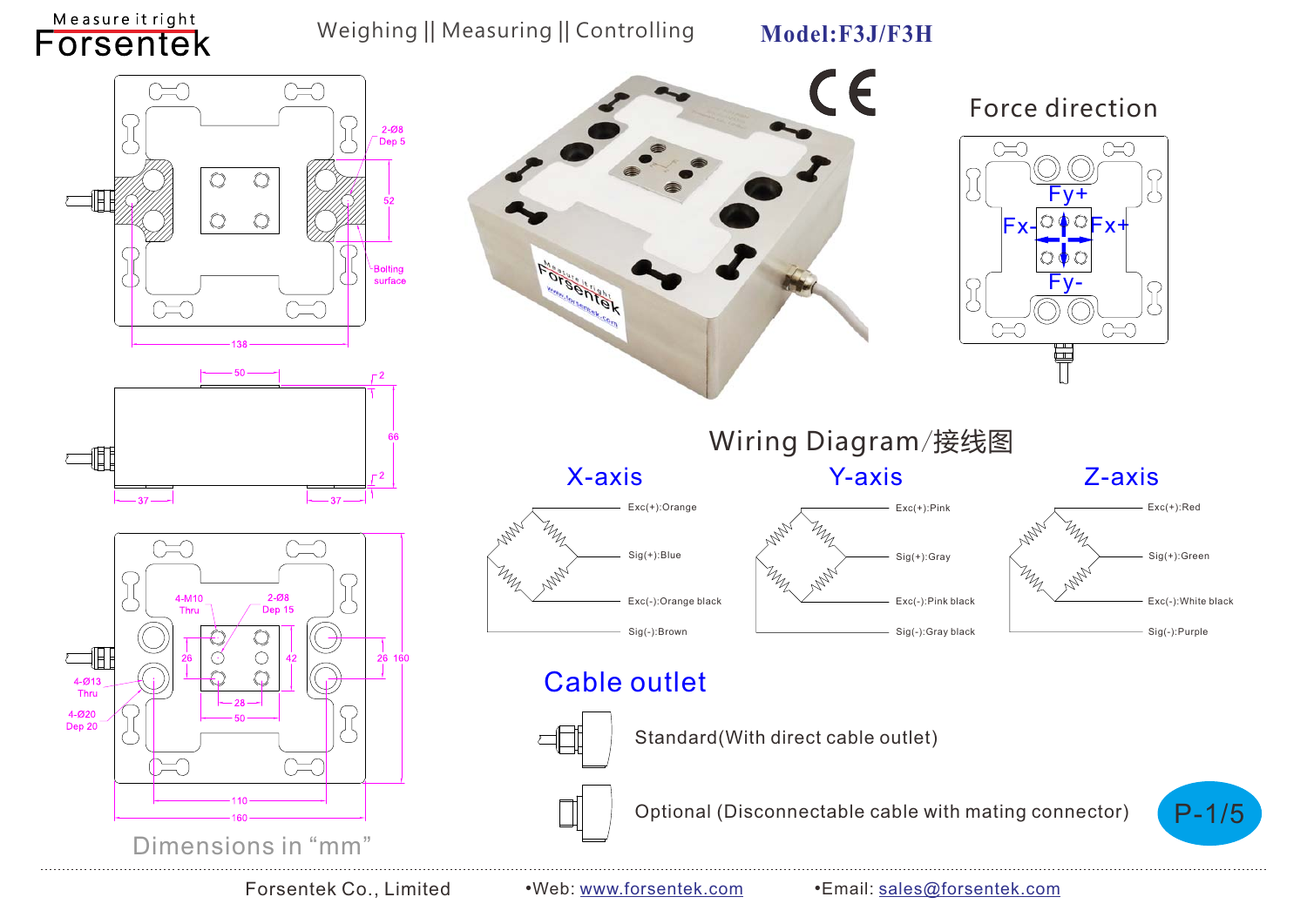Measure it right Forsentek

#### Weighing || Measuring || Controlling

**Model:F3J/F3H**

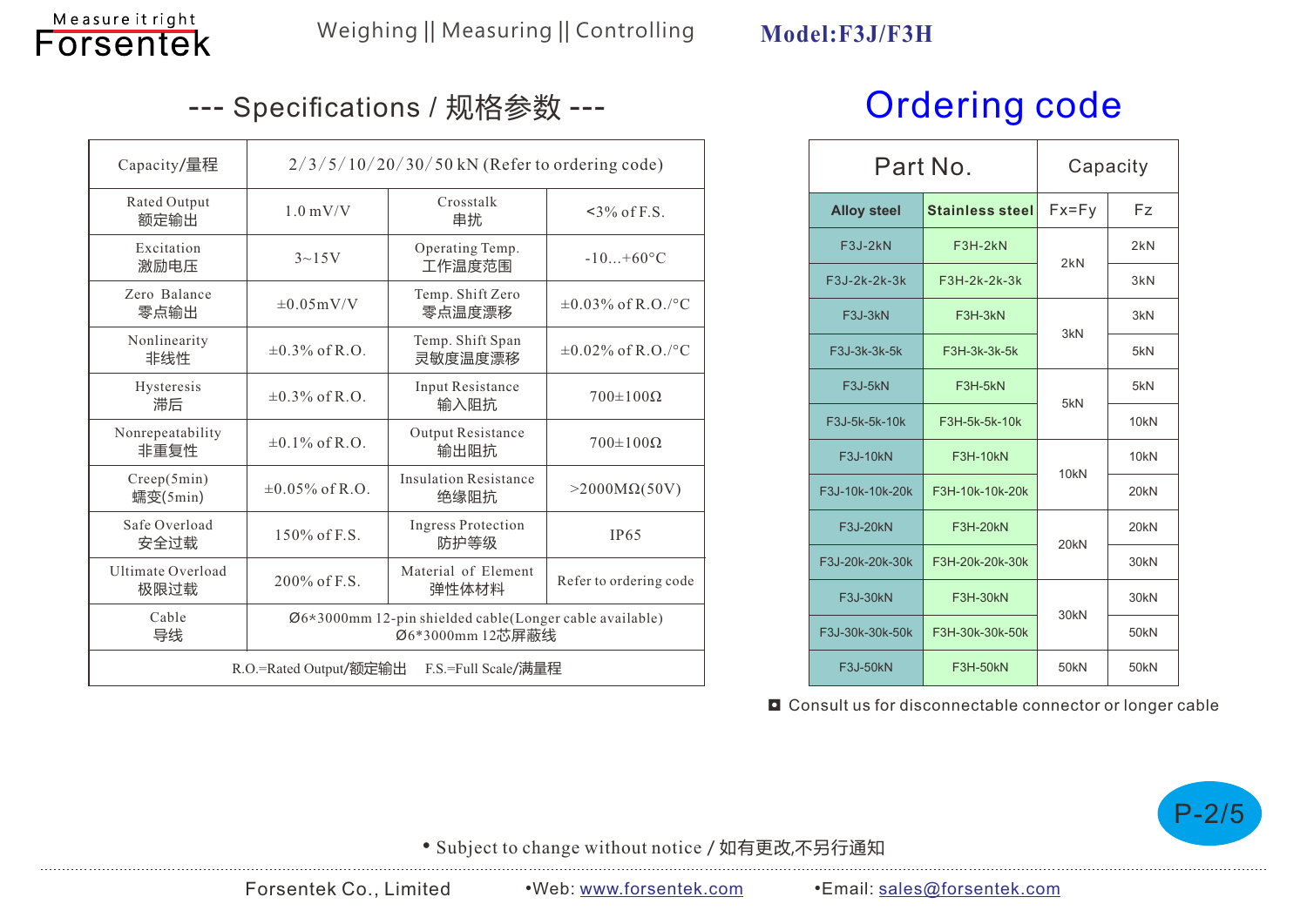

# --- Specifications / 规格参数 --- Or**dering code**

| Capacity/量程                                   | $2/3/5/10/20/30/50$ kN (Refer to ordering code)                             |                                      |                         |  |  |  |
|-----------------------------------------------|-----------------------------------------------------------------------------|--------------------------------------|-------------------------|--|--|--|
| Rated Output<br>额定输出                          | $1.0 \text{ mV/V}$                                                          | Crosstalk<br>串扰                      | $\leq$ 3% of F.S.       |  |  |  |
| Excitation<br>激励电压                            | $3{\sim}15V$                                                                | Operating Temp.<br>工作温度范围            | $-10+60^{\circ}C$       |  |  |  |
| Zero Balance<br>零点输出                          | $\pm 0.05$ mV/V                                                             | Temp. Shift Zero<br>零点温度漂移           | $\pm 0.03\%$ of R.O./°C |  |  |  |
| Nonlinearity<br>非线性                           | $\pm 0.3\%$ of R.O.                                                         | Temp. Shift Span<br>灵敏度温度漂移          | $\pm 0.02\%$ of R.O./°C |  |  |  |
| Hysteresis<br>滞后                              | $\pm 0.3\%$ of R.O.                                                         | Input Resistance<br>输入阻抗             | $700\pm100\Omega$       |  |  |  |
| Nonrepeatability<br>非重复性                      | $\pm 0.1\%$ of R.O.                                                         | Output Resistance<br>输出阻抗            | $700\pm100\Omega$       |  |  |  |
| Creep(5min)<br>蠕变(5min)                       | $\pm 0.05\%$ of R.O.                                                        | <b>Insulation Resistance</b><br>绝缘阻抗 | $>2000M\Omega(50V)$     |  |  |  |
| Safe Overload<br>安全过载                         | $150\%$ of F.S.                                                             | <b>Ingress Protection</b><br>防护等级    | <b>IP65</b>             |  |  |  |
| Ultimate Overload<br>极限过载                     | 200% of F.S.                                                                | Material of Element<br>弹性体材料         | Refer to ordering code  |  |  |  |
| Cable<br>导线                                   | Ø6*3000mm 12-pin shielded cable(Longer cable available)<br>Ø6*3000mm 12芯屏蔽线 |                                      |                         |  |  |  |
| R.O.=Rated Output/额定输出<br>F.S.=Full Scale/满量程 |                                                                             |                                      |                         |  |  |  |

| Part No.           |                        | Capacity         |                  |
|--------------------|------------------------|------------------|------------------|
| <b>Alloy steel</b> | <b>Stainless steel</b> | $Fx = Fy$        | Fz               |
| F3J-2kN            | $F3H-2kN$              | 2kN              | 2kN              |
| F3J-2k-2k-3k       | F3H-2k-2k-3k           |                  | 3kN              |
| F3J-3kN            | F3H-3kN                | 3kN              | 3kN              |
| F3J-3k-3k-5k       | F3H-3k-3k-5k           |                  | 5kN              |
| F3J-5kN            | F3H-5kN                | 5kN              | 5kN              |
| F3J-5k-5k-10k      | F3H-5k-5k-10k          |                  | 10 <sub>kN</sub> |
| F3J-10kN           | <b>F3H-10kN</b>        | 10 <sub>kN</sub> | 10 <sub>kN</sub> |
| F3J-10k-10k-20k    | F3H-10k-10k-20k        |                  | 20 <sub>kN</sub> |
| F3J-20kN           | <b>F3H-20kN</b>        | 20 <sub>kN</sub> | 20 <sub>kN</sub> |
| F3J-20k-20k-30k    | F3H-20k-20k-30k        |                  | 30 <sub>kN</sub> |
| F3J-30kN           | <b>F3H-30kN</b>        | 30kN             | 30 <sub>kN</sub> |
| F3J-30k-30k-50k    | F3H-30k-30k-50k        |                  | 50 <sub>kN</sub> |
| F3J-50kN           | <b>F3H-50kN</b>        | 50 <sub>kN</sub> | 50 <sub>kN</sub> |

■ Consult us for disconnectable connector or longer cable



• Subject to change without notice / 如有更改,不另行通知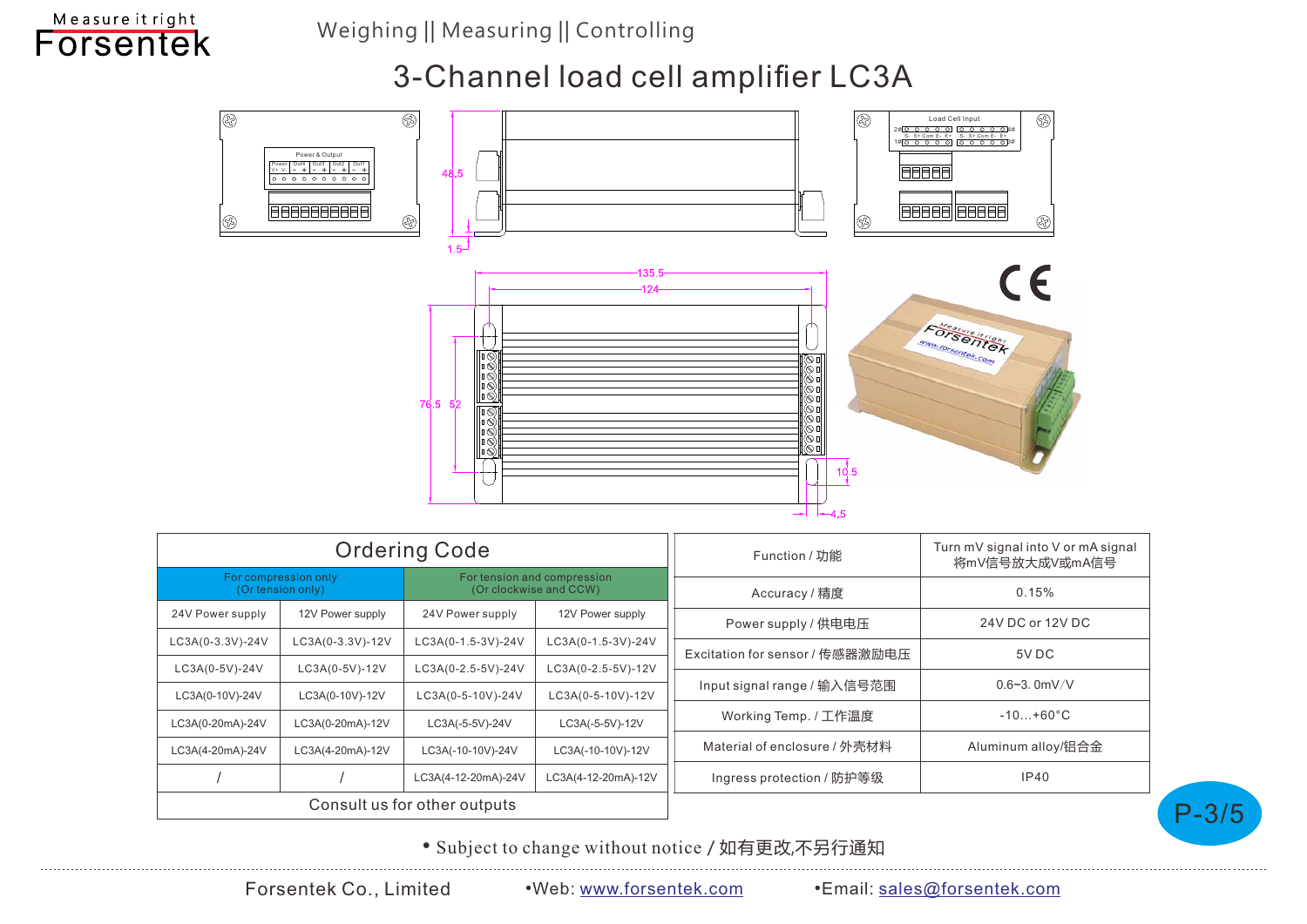Weighing || Measuring || Controlling

#### Measure it right **Forsentek**

# 3-Channel load cell amplifier LC3A



| <b>Ordering Code</b>                                                                               |                  |                     |                     | Function / 功能                   | Turn mV signal into V or mA signal<br>将mV信号放大成V或mA信号 |
|----------------------------------------------------------------------------------------------------|------------------|---------------------|---------------------|---------------------------------|------------------------------------------------------|
| For compression only<br>For tension and compression<br>(Or tension only)<br>(Or clockwise and CCW) |                  |                     | Accuracy / 精度       | 0.15%                           |                                                      |
| 24V Power supply                                                                                   | 12V Power supply | 24V Power supply    | 12V Power supply    | Power supply / 供电电压             | 24V DC or 12V DC                                     |
| LC3A(0-3.3V)-24V                                                                                   | LC3A(0-3.3V)-12V | LC3A(0-1.5-3V)-24V  | LC3A(0-1.5-3V)-24V  | Excitation for sensor / 传感器激励电压 | 5V DC                                                |
| LC3A(0-5V)-24V                                                                                     | LC3A(0-5V)-12V   | LC3A(0-2.5-5V)-24V  | LC3A(0-2.5-5V)-12V  |                                 |                                                      |
| LC3A(0-10V)-24V                                                                                    | LC3A(0-10V)-12V  | LC3A(0-5-10V)-24V   | LC3A(0-5-10V)-12V   | Input signal range / 输入信号范围     | $0.6 - 3.0$ mV/V                                     |
| LC3A(0-20mA)-24V                                                                                   | LC3A(0-20mA)-12V | LC3A(-5-5V)-24V     | LC3A(-5-5V)-12V     | Working Temp. / 工作温度            | $-10+60°C$                                           |
| LC3A(4-20mA)-24V                                                                                   | LC3A(4-20mA)-12V | LC3A(-10-10V)-24V   | LC3A(-10-10V)-12V   | Material of enclosure / 外壳材料    | Aluminum alloy/铝合金                                   |
|                                                                                                    |                  | LC3A(4-12-20mA)-24V | LC3A(4-12-20mA)-12V | Ingress protection / 防护等级       | IP40                                                 |
| Consult us for other outputs                                                                       |                  |                     |                     |                                 |                                                      |

• Subject to change without notice / 如有更改,不另行通知

P-3/5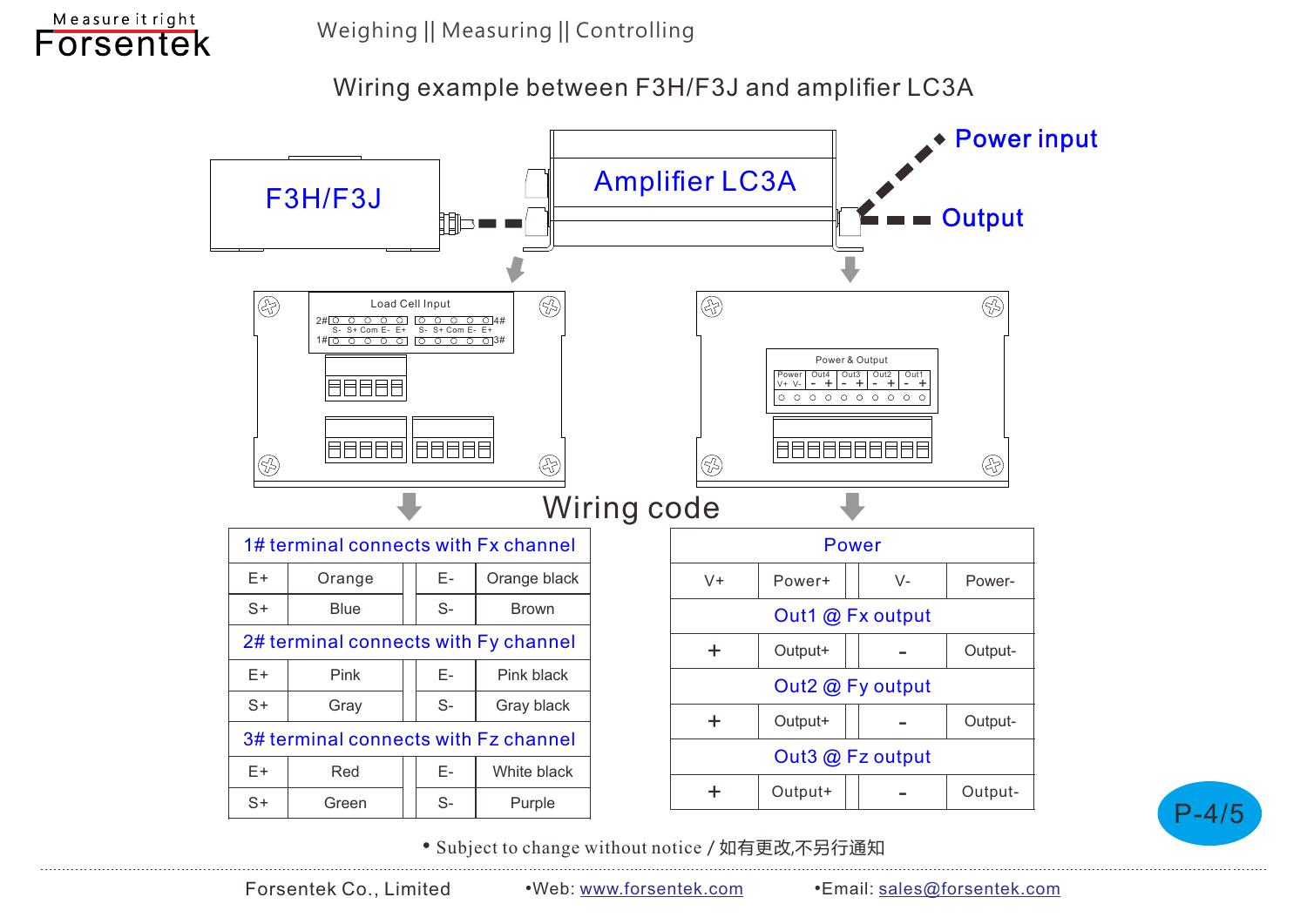

#### Wiring example between F3H/F3J and amplifier LC3A



P-4/5

• Subject to change without notice / 如有更改,不另行通知